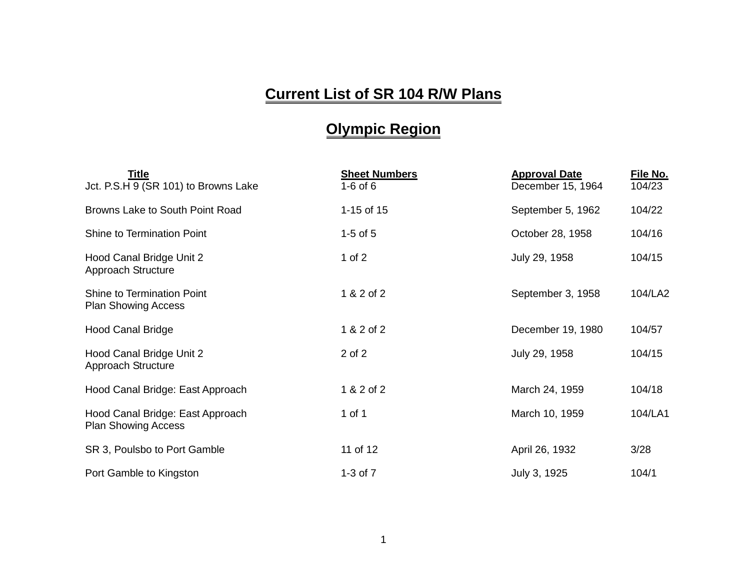## **Current List of SR 104 R/W Plans**

## **Olympic Region**

| <b>Title</b><br>Jct. P.S.H 9 (SR 101) to Browns Lake           | <b>Sheet Numbers</b><br>$1-6$ of $6$ | <b>Approval Date</b><br>December 15, 1964 | File No.<br>104/23 |
|----------------------------------------------------------------|--------------------------------------|-------------------------------------------|--------------------|
| Browns Lake to South Point Road                                | 1-15 of $15$                         | September 5, 1962                         | 104/22             |
| Shine to Termination Point                                     | $1-5$ of $5$                         | October 28, 1958                          | 104/16             |
| Hood Canal Bridge Unit 2<br>Approach Structure                 | 1 of $2$                             | July 29, 1958                             | 104/15             |
| Shine to Termination Point<br><b>Plan Showing Access</b>       | 1 & 2 of 2                           | September 3, 1958                         | 104/LA2            |
| <b>Hood Canal Bridge</b>                                       | 1 & 2 of 2                           | December 19, 1980                         | 104/57             |
| Hood Canal Bridge Unit 2<br>Approach Structure                 | 2 of 2                               | July 29, 1958                             | 104/15             |
| Hood Canal Bridge: East Approach                               | 1 & 2 of 2                           | March 24, 1959                            | 104/18             |
| Hood Canal Bridge: East Approach<br><b>Plan Showing Access</b> | 1 of 1                               | March 10, 1959                            | 104/LA1            |
| SR 3, Poulsbo to Port Gamble                                   | 11 of 12                             | April 26, 1932                            | 3/28               |
| Port Gamble to Kingston                                        | $1-3$ of $7$                         | July 3, 1925                              | 104/1              |